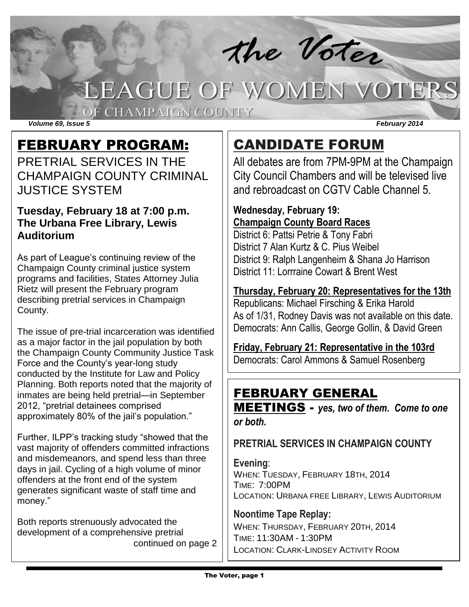# the Voter LEAGUE OF WOMEN VOTERS

*Volume 69, Issue 5 February 2014*

# FEBRUARY PROGRAM:

PRETRIAL SERVICES IN THE CHAMPAIGN COUNTY CRIMINAL JUSTICE SYSTEM

OF CHAMPAIGN COUNTY

### **Tuesday, February 18 at 7:00 p.m. The Urbana Free Library, Lewis Auditorium**

As part of League's continuing review of the Champaign County criminal justice system programs and facilities, States Attorney Julia Rietz will present the February program describing pretrial services in Champaign County.

The issue of pre-trial incarceration was identified as a major factor in the jail population by both the Champaign County Community Justice Task Force and the County's year-long study conducted by the Institute for Law and Policy Planning. Both reports noted that the majority of inmates are being held pretrial—in September 2012, "pretrial detainees comprised approximately 80% of the jail's population."

Further, ILPP's tracking study "showed that the vast majority of offenders committed infractions and misdemeanors, and spend less than three days in jail. Cycling of a high volume of minor offenders at the front end of the system generates significant waste of staff time and money."

Both reports strenuously advocated the development of a comprehensive pretrial continued on page 2

# CANDIDATE FORUM

All debates are from 7PM-9PM at the Champaign City Council Chambers and will be televised live and rebroadcast on CGTV Cable Channel 5.

### **Wednesday, February 19: Champaign County Board Races**

District 6: Pattsi Petrie & Tony Fabri District 7 Alan Kurtz & C. Pius Weibel District 9: Ralph Langenheim & Shana Jo Harrison District 11: Lorrraine Cowart & Brent West

**Thursday, February 20: Representatives for the 13th** Republicans: Michael Firsching & Erika Harold As of 1/31, Rodney Davis was not available on this date. Democrats: Ann Callis, George Gollin, & David Green

**Friday, February 21: Representative in the 103rd** Democrats: Carol Ammons & Samuel Rosenberg

### FEBRUARY GENERAL

MEETINGS - *yes, two of them. Come to one or both.*

**PRETRIAL SERVICES IN CHAMPAIGN COUNTY**

### **Evening**: WHEN: TUESDAY, FEBRUARY 18TH, 2014 TIME: 7:00PM LOCATION: URBANA FREE LIBRARY, LEWIS AUDITORIUM

### **Noontime Tape Replay:** WHEN: THURSDAY, FEBRUARY 20TH, 2014 TIME: 11:30AM - 1:30PM LOCATION: CLARK-LINDSEY ACTIVITY ROOM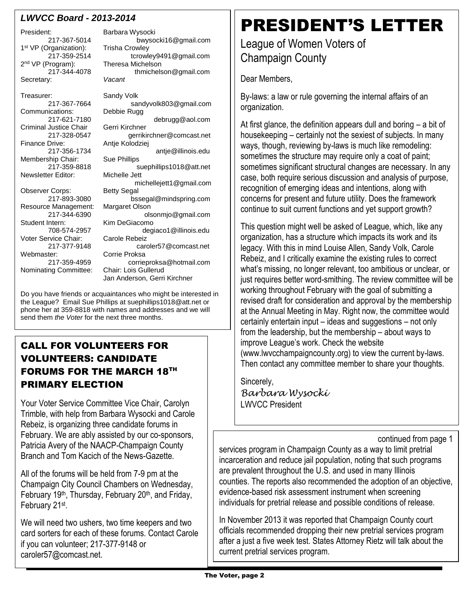### *LWVCC Board - 2013-2014*

President: Barbara Wysocki 1<sup>st</sup> VP (Organization): Trisha Crowley 2<sup>nd</sup> VP (Program): Secretary: *Vacant*

Treasurer: Sandy Volk<br>217-367-7664 sai Communications: Criminal Justice Chair Gerri Kirchner Membership Chair: Sue Phillips Newsletter Editor: Michelle Jett Observer Corps: Resource Management: Margaret Olson

Voter Service Chair: Carole Rebeiz Webmaster: Corrie Proksa

Nominating Committee: Chair: Lois Gullerud

217-367-5014 bwysocki16@gmail.com 217-359-2514 tcrowley9491@gmail.com Program): Theresa Michelson<br>217-344-4078 thmichels thmichelson@gmail.com sandyvolk803@gmail.com<br>Debbie Rugg 217-621-7180 debrugg@aol.com 217-328-0547 gerrikirchner@comcast.net<br>Finance Drive: Antie Kolodziej Antje Kolodziej 217-356-1734 antje@illinois.edu 217-359-8818 suephillips1018@att.net michellejett1@gmail.com<br>Bettv Segal 217-893-3080 bssegal@mindspring.com 217-344-6390 olsonmjo@gmail.com Kim DeGiacomo 708-574-2957 degiaco1@illinois.edu 217-377-9148 caroler57@comcast.net 217-359-4959 corrieproksa@hotmail.com Jan Anderson, Gerri Kirchner

Do you have friends or acquaintances who might be interested in the League? Email Sue Phillips at suephillips1018@att.net or phone her at 359-8818 with names and addresses and we will send them *the Voter* for the next three months.

### CALL FOR VOLUNTEERS FOR VOLUNTEERS: CANDIDATE FORUMS FOR THE MARCH 18TH PRIMARY ELECTION

Your Voter Service Committee Vice Chair, Carolyn Trimble, with help from Barbara Wysocki and Carole Rebeiz, is organizing three candidate forums in February. We are ably assisted by our co-sponsors, Patricia Avery of the NAACP-Champaign County Branch and Tom Kacich of the News-Gazette.

All of the forums will be held from 7-9 pm at the Champaign City Council Chambers on Wednesday, February 19<sup>th</sup>, Thursday, February 20<sup>th</sup>, and Friday, February 21<sup>st</sup>.

We will need two ushers, two time keepers and two card sorters for each of these forums. Contact Carole if you can volunteer; 217-377-9148 or caroler57@comcast.net.

# PRESIDENT'S LETTER

League of Women Voters of Champaign County

Dear Members,

By-laws: a law or rule governing the internal affairs of an organization.

At first glance, the definition appears dull and boring – a bit of housekeeping – certainly not the sexiest of subjects. In many ways, though, reviewing by-laws is much like remodeling: sometimes the structure may require only a coat of paint; sometimes significant structural changes are necessary. In any case, both require serious discussion and analysis of purpose, recognition of emerging ideas and intentions, along with concerns for present and future utility. Does the framework continue to suit current functions and yet support growth?

This question might well be asked of League, which, like any organization, has a structure which impacts its work and its legacy. With this in mind Louise Allen, Sandy Volk, Carole Rebeiz, and I critically examine the existing rules to correct what's missing, no longer relevant, too ambitious or unclear, or just requires better word-smithing. The review committee will be working throughout February with the goal of submitting a revised draft for consideration and approval by the membership at the Annual Meeting in May. Right now, the committee would certainly entertain input – ideas and suggestions – not only from the leadership, but the membership – about ways to improve League's work. Check the website (www.lwvcchampaigncounty.org) to view the current by-laws. Then contact any committee member to share your thoughts.

Sincerely, *Barbara Wysocki* LWVCC President

continued from page 1

services program in Champaign County as a way to limit pretrial incarceration and reduce jail population, noting that such programs are prevalent throughout the U.S. and used in many Illinois counties. The reports also recommended the adoption of an objective, evidence-based risk assessment instrument when screening individuals for pretrial release and possible conditions of release.

In November 2013 it was reported that Champaign County court officials recommended dropping their new pretrial services program after a just a five week test. States Attorney Rietz will talk about the current pretrial services program.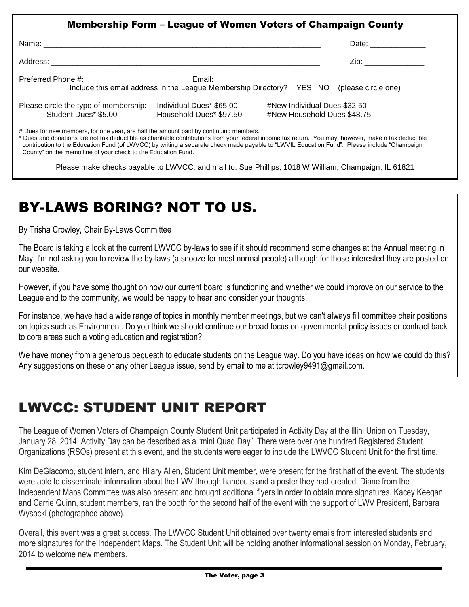|                                       |                                                                                           |                              | Date: ______________  |
|---------------------------------------|-------------------------------------------------------------------------------------------|------------------------------|-----------------------|
|                                       |                                                                                           |                              | Zip: ________________ |
|                                       |                                                                                           |                              |                       |
|                                       | Include this email address in the League Membership Directory? YES NO (please circle one) |                              |                       |
| Please circle the type of membership: | Individual Dues* \$65.00                                                                  | #New Individual Dues \$32.50 |                       |
| Student Dues* \$5.00                  | Household Dues* \$97.50                                                                   | #New Household Dues \$48.75  |                       |

County" on the memo line of your check to the Education Fund.

Please make checks payable to LWVCC, and mail to: Sue Phillips, 1018 W William, Champaign, IL 61821

# BY-LAWS BORING? NOT TO US.

By Trisha Crowley, Chair By-Laws Committee

The Board is taking a look at the current LWVCC by-laws to see if it should recommend some changes at the Annual meeting in May. I'm not asking you to review the by-laws (a snooze for most normal people) although for those interested they are posted on our website.

However, if you have some thought on how our current board is functioning and whether we could improve on our service to the League and to the community, we would be happy to hear and consider your thoughts.

For instance, we have had a wide range of topics in monthly member meetings, but we can't always fill committee chair positions on topics such as Environment. Do you think we should continue our broad focus on governmental policy issues or contract back to core areas such a voting education and registration?

We have money from a generous bequeath to educate students on the League way. Do you have ideas on how we could do this? Any suggestions on these or any other League issue, send by email to me at tcrowley 9491@gmail.com.

# LWVCC: STUDENT UNIT REPORT

The League of Women Voters of Champaign County Student Unit participated in Activity Day at the Illini Union on Tuesday, January 28, 2014. Activity Day can be described as a "mini Quad Day". There were over one hundred Registered Student Organizations (RSOs) present at this event, and the students were eager to include the LWVCC Student Unit for the first time.

Kim DeGiacomo, student intern, and Hilary Allen, Student Unit member, were present for the first half of the event. The students were able to disseminate information about the LWV through handouts and a poster they had created. Diane from the Independent Maps Committee was also present and brought additional flyers in order to obtain more signatures. Kacey Keegan and Carrie Quinn, student members, ran the booth for the second half of the event with the support of LWV President, Barbara Wysocki (photographed above).

Overall, this event was a great success. The LWVCC Student Unit obtained over twenty emails from interested students and more signatures for the Independent Maps. The Student Unit will be holding another informational session on Monday, February, 2014 to welcome new members.